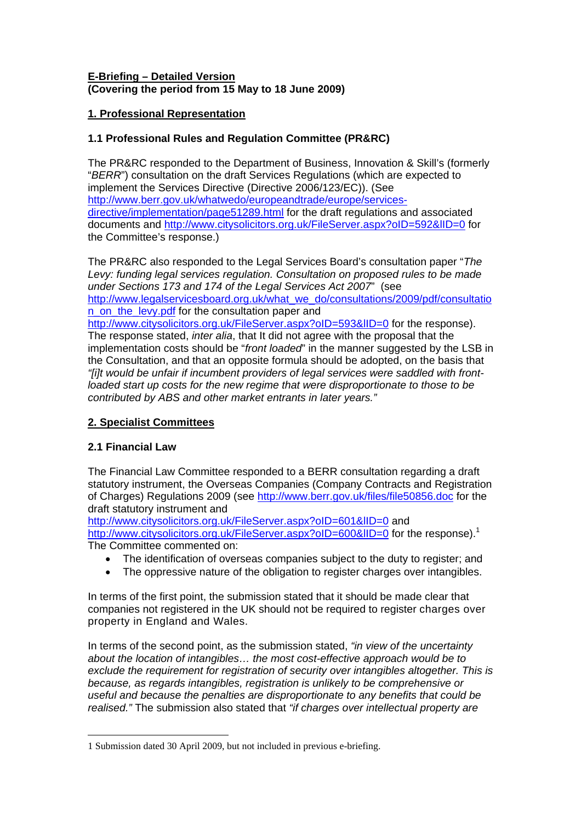#### **E-Briefing – Detailed Version (Covering the period from 15 May to 18 June 2009)**

## **1. Professional Representation**

### **1.1 Professional Rules and Regulation Committee (PR&RC)**

The PR&RC responded to the Department of Business, Innovation & Skill's (formerly "*BERR*") consultation on the draft Services Regulations (which are expected to implement the Services Directive (Directive 2006/123/EC)). (See [http://www.berr.gov.uk/whatwedo/europeandtrade/europe/services](http://www.berr.gov.uk/whatwedo/europeandtrade/europe/services-directive/implementation/page51289.html)[directive/implementation/page51289.html](http://www.berr.gov.uk/whatwedo/europeandtrade/europe/services-directive/implementation/page51289.html) for the draft regulations and associated documents and<http://www.citysolicitors.org.uk/FileServer.aspx?oID=592&lID=0> for the Committee's response.)

The PR&RC also responded to the Legal Services Board's consultation paper "*The Levy: funding legal services regulation. Consultation on proposed rules to be made under Sections 173 and 174 of the Legal Services Act 2007*" (see [http://www.legalservicesboard.org.uk/what\\_we\\_do/consultations/2009/pdf/consultatio](http://www.legalservicesboard.org.uk/what_we_do/consultations/2009/pdf/consultation_on_the_levy.pdf) [n\\_on\\_the\\_levy.pdf](http://www.legalservicesboard.org.uk/what_we_do/consultations/2009/pdf/consultation_on_the_levy.pdf) for the consultation paper and

http://www.citysolicitors.org.uk/FileServer.aspx?oID=593&IID=0 for the response). The response stated, *inter alia*, that It did not agree with the proposal that the implementation costs should be "*front loaded*" in the manner suggested by the LSB in the Consultation, and that an opposite formula should be adopted, on the basis that *"[i]t would be unfair if incumbent providers of legal services were saddled with frontloaded start up costs for the new regime that were disproportionate to those to be contributed by ABS and other market entrants in later years."*

# **2. Specialist Committees**

# **2.1 Financial Law**

 $\overline{a}$ 

The Financial Law Committee responded to a BERR consultation regarding a draft statutory instrument, the Overseas Companies (Company Contracts and Registration of Charges) Regulations 2009 (see <http://www.berr.gov.uk/files/file50856.doc> for the draft statutory instrument and

<http://www.citysolicitors.org.uk/FileServer.aspx?oID=601&lID=0> and http://www.citysolicitors.org.uk/FileServer.aspx?oID=600&IID=0 for the response).<sup>[1](#page-0-0)</sup> The Committee commented on:

- The identification of overseas companies subject to the duty to register; and
- The oppressive nature of the obligation to register charges over intangibles.

In terms of the first point, the submission stated that it should be made clear that companies not registered in the UK should not be required to register charges over property in England and Wales.

In terms of the second point, as the submission stated, *"in view of the uncertainty about the location of intangibles… the most cost-effective approach would be to exclude the requirement for registration of security over intangibles altogether. This is because, as regards intangibles, registration is unlikely to be comprehensive or useful and because the penalties are disproportionate to any benefits that could be realised."* The submission also stated that *"if charges over intellectual property are* 

<span id="page-0-0"></span><sup>1</sup> Submission dated 30 April 2009, but not included in previous e-briefing.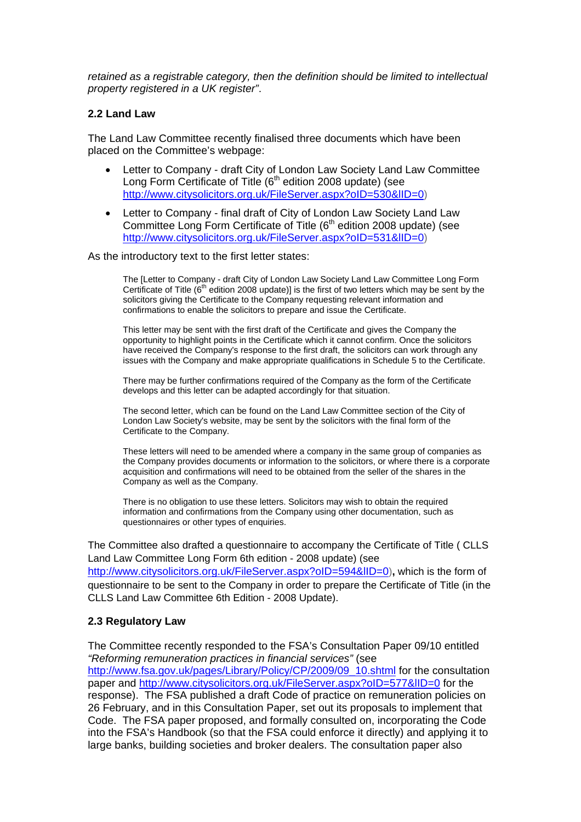*retained as a registrable category, then the definition should be limited to intellectual property registered in a UK register"*.

#### **2.2 Land Law**

The Land Law Committee recently finalised three documents which have been placed on the Committee's webpage:

- Letter to Company draft City of London Law Society Land Law Committee Long Form Certificate of Title ( $6<sup>th</sup>$  edition 2008 update) (see <http://www.citysolicitors.org.uk/FileServer.aspx?oID=530&lID=0>)
- Letter to Company final draft of City of London Law Society Land Law Committee Long Form Certificate of Title  $(6<sup>th</sup>$  edition 2008 update) (see <http://www.citysolicitors.org.uk/FileServer.aspx?oID=531&lID=0>)

As the introductory text to the first letter states:

The [Letter to Company - draft City of London Law Society Land Law Committee Long Form Certificate of Title ( $6<sup>th</sup>$  edition 2008 update)] is the first of two letters which may be sent by the solicitors giving the Certificate to the Company requesting relevant information and confirmations to enable the solicitors to prepare and issue the Certificate.

This letter may be sent with the first draft of the Certificate and gives the Company the opportunity to highlight points in the Certificate which it cannot confirm. Once the solicitors have received the Company's response to the first draft, the solicitors can work through any issues with the Company and make appropriate qualifications in Schedule 5 to the Certificate.

There may be further confirmations required of the Company as the form of the Certificate develops and this letter can be adapted accordingly for that situation.

The second letter, which can be found on the Land Law Committee section of the City of London Law Society's website, may be sent by the solicitors with the final form of the Certificate to the Company.

These letters will need to be amended where a company in the same group of companies as the Company provides documents or information to the solicitors, or where there is a corporate acquisition and confirmations will need to be obtained from the seller of the shares in the Company as well as the Company.

There is no obligation to use these letters. Solicitors may wish to obtain the required information and confirmations from the Company using other documentation, such as questionnaires or other types of enquiries.

The Committee also drafted a questionnaire to accompany the Certificate of Title ( CLLS Land Law Committee Long Form 6th edition - 2008 update) (see <http://www.citysolicitors.org.uk/FileServer.aspx?oID=594&lID=0>)**,** which is the form of questionnaire to be sent to the Company in order to prepare the Certificate of Title (in the CLLS Land Law Committee 6th Edition - 2008 Update).

#### **2.3 Regulatory Law**

The Committee recently responded to the FSA's Consultation Paper 09/10 entitled *"Reforming remuneration practices in financial services"* (see [http://www.fsa.gov.uk/pages/Library/Policy/CP/2009/09\\_10.shtml](http://www.fsa.gov.uk/pages/Library/Policy/CP/2009/09_10.shtml) for the consultation paper and <http://www.citysolicitors.org.uk/FileServer.aspx?oID=577&lID=0>for the response). The FSA published a draft Code of practice on remuneration policies on 26 February, and in this Consultation Paper, set out its proposals to implement that Code. The FSA paper proposed, and formally consulted on, incorporating the Code into the FSA's Handbook (so that the FSA could enforce it directly) and applying it to large banks, building societies and broker dealers. The consultation paper also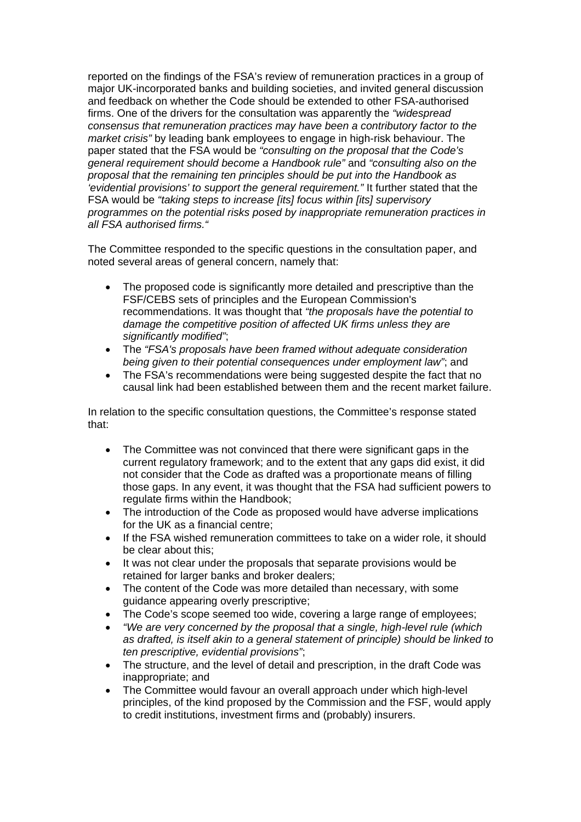reported on the findings of the FSA's review of remuneration practices in a group of major UK-incorporated banks and building societies, and invited general discussion and feedback on whether the Code should be extended to other FSA-authorised firms. One of the drivers for the consultation was apparently the *"widespread consensus that remuneration practices may have been a contributory factor to the market crisis"* by leading bank employees to engage in high-risk behaviour. The paper stated that the FSA would be *"consulting on the proposal that the Code's general requirement should become a Handbook rule"* and *"consulting also on the proposal that the remaining ten principles should be put into the Handbook as 'evidential provisions' to support the general requirement."* It further stated that the FSA would be *"taking steps to increase [its] focus within [its] supervisory programmes on the potential risks posed by inappropriate remuneration practices in all FSA authorised firms."*

The Committee responded to the specific questions in the consultation paper, and noted several areas of general concern, namely that:

- The proposed code is significantly more detailed and prescriptive than the FSF/CEBS sets of principles and the European Commission's recommendations. It was thought that *"the proposals have the potential to damage the competitive position of affected UK firms unless they are significantly modified"*;
- The *"FSA's proposals have been framed without adequate consideration being given to their potential consequences under employment law"*; and
- The FSA's recommendations were being suggested despite the fact that no causal link had been established between them and the recent market failure.

In relation to the specific consultation questions, the Committee's response stated that:

- The Committee was not convinced that there were significant gaps in the current regulatory framework; and to the extent that any gaps did exist, it did not consider that the Code as drafted was a proportionate means of filling those gaps. In any event, it was thought that the FSA had sufficient powers to regulate firms within the Handbook;
- The introduction of the Code as proposed would have adverse implications for the UK as a financial centre;
- If the FSA wished remuneration committees to take on a wider role, it should be clear about this;
- It was not clear under the proposals that separate provisions would be retained for larger banks and broker dealers;
- The content of the Code was more detailed than necessary, with some guidance appearing overly prescriptive;
- The Code's scope seemed too wide, covering a large range of employees;
- *"We are very concerned by the proposal that a single, high-level rule (which as drafted, is itself akin to a general statement of principle) should be linked to ten prescriptive, evidential provisions"*;
- The structure, and the level of detail and prescription, in the draft Code was inappropriate; and
- The Committee would favour an overall approach under which high-level principles, of the kind proposed by the Commission and the FSF, would apply to credit institutions, investment firms and (probably) insurers.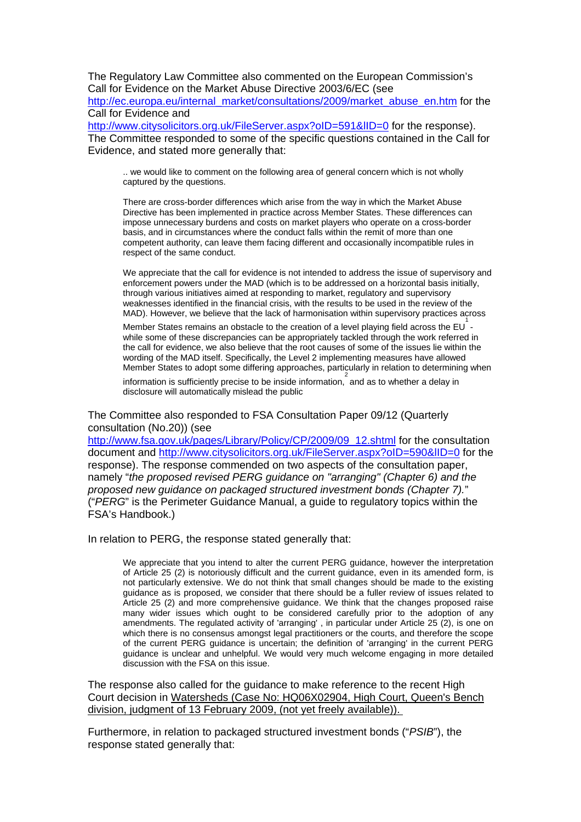The Regulatory Law Committee also commented on the European Commission's Call for Evidence on the Market Abuse Directive 2003/6/EC (see

[http://ec.europa.eu/internal\\_market/consultations/2009/market\\_abuse\\_en.htm](http://ec.europa.eu/internal_market/consultations/2009/market_abuse_en.htm) for the Call for Evidence and

http://www.citysolicitors.org.uk/FileServer.aspx?oID=591&IID=0 for the response). The Committee responded to some of the specific questions contained in the Call for Evidence, and stated more generally that:

.. we would like to comment on the following area of general concern which is not wholly captured by the questions.

There are cross-border differences which arise from the way in which the Market Abuse Directive has been implemented in practice across Member States. These differences can impose unnecessary burdens and costs on market players who operate on a cross-border basis, and in circumstances where the conduct falls within the remit of more than one competent authority, can leave them facing different and occasionally incompatible rules in respect of the same conduct.

We appreciate that the call for evidence is not intended to address the issue of supervisory and enforcement powers under the MAD (which is to be addressed on a horizontal basis initially, through various initiatives aimed at responding to market, regulatory and supervisory weaknesses identified in the financial crisis, with the results to be used in the review of the MAD). However, we believe that the lack of harmonisation within supervisory practices across

Member States remains an obstacle to the creation of a level playing field across the EU  $^{-1}$ while some of these discrepancies can be appropriately tackled through the work referred in the call for evidence, we also believe that the root causes of some of the issues lie within the wording of the MAD itself. Specifically, the Level 2 implementing measures have allowed Member States to adopt some differing approaches, particularly in relation to determining when

information is sufficiently precise to be inside information, and as to whether a delay in disclosure will automatically mislead the public

The Committee also responded to FSA Consultation Paper 09/12 (Quarterly consultation (No.20)) (see

[http://www.fsa.gov.uk/pages/Library/Policy/CP/2009/09\\_12.shtml](http://www.fsa.gov.uk/pages/Library/Policy/CP/2009/09_12.shtml) for the consultation document and <http://www.citysolicitors.org.uk/FileServer.aspx?oID=590&lID=0> for the response). The response commended on two aspects of the consultation paper, namely "*the proposed revised PERG guidance on "arranging" (Chapter 6) and the proposed new guidance on packaged structured investment bonds (Chapter 7).*" ("*PERG*" is the Perimeter Guidance Manual, a guide to regulatory topics within the FSA's Handbook.)

In relation to PERG, the response stated generally that:

We appreciate that you intend to alter the current PERG guidance, however the interpretation of Article 25 (2) is notoriously difficult and the current guidance, even in its amended form, is not particularly extensive. We do not think that small changes should be made to the existing guidance as is proposed, we consider that there should be a fuller review of issues related to Article 25 (2) and more comprehensive guidance. We think that the changes proposed raise many wider issues which ought to be considered carefully prior to the adoption of any amendments. The regulated activity of 'arranging' , in particular under Article 25 (2), is one on which there is no consensus amongst legal practitioners or the courts, and therefore the scope of the current PERG guidance is uncertain; the definition of 'arranging' in the current PERG guidance is unclear and unhelpful. We would very much welcome engaging in more detailed discussion with the FSA on this issue.

The response also called for the guidance to make reference to the recent High Court decision in Watersheds (Case No: HQ06X02904, High Court, Queen's Bench division, judgment of 13 February 2009, (not yet freely available)).

Furthermore, in relation to packaged structured investment bonds ("*PSIB*"), the response stated generally that: